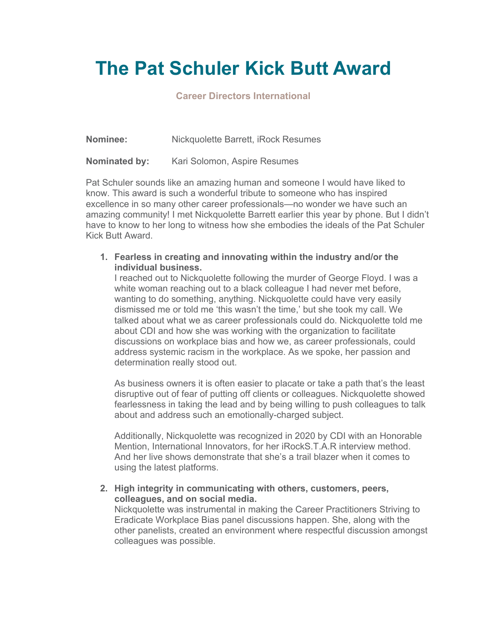## **The Pat Schuler Kick Butt Award**

## **Career Directors International**

**Nominee:** Nickquolette Barrett, iRock Resumes

**Nominated by:** Kari Solomon, Aspire Resumes

Pat Schuler sounds like an amazing human and someone I would have liked to know. This award is such a wonderful tribute to someone who has inspired excellence in so many other career professionals—no wonder we have such an amazing community! I met Nickquolette Barrett earlier this year by phone. But I didn't have to know to her long to witness how she embodies the ideals of the Pat Schuler Kick Butt Award.

**1. Fearless in creating and innovating within the industry and/or the individual business.** 

I reached out to Nickquolette following the murder of George Floyd. I was a white woman reaching out to a black colleague I had never met before, wanting to do something, anything. Nickquolette could have very easily dismissed me or told me 'this wasn't the time,' but she took my call. We talked about what we as career professionals could do. Nickquolette told me about CDI and how she was working with the organization to facilitate discussions on workplace bias and how we, as career professionals, could address systemic racism in the workplace. As we spoke, her passion and determination really stood out.

As business owners it is often easier to placate or take a path that's the least disruptive out of fear of putting off clients or colleagues. Nickquolette showed fearlessness in taking the lead and by being willing to push colleagues to talk about and address such an emotionally-charged subject.

Additionally, Nickquolette was recognized in 2020 by CDI with an Honorable Mention, International Innovators, for her iRockS.T.A.R interview method. And her live shows demonstrate that she's a trail blazer when it comes to using the latest platforms.

**2. High integrity in communicating with others, customers, peers, colleagues, and on social media.** 

Nickquolette was instrumental in making the Career Practitioners Striving to Eradicate Workplace Bias panel discussions happen. She, along with the other panelists, created an environment where respectful discussion amongst colleagues was possible.